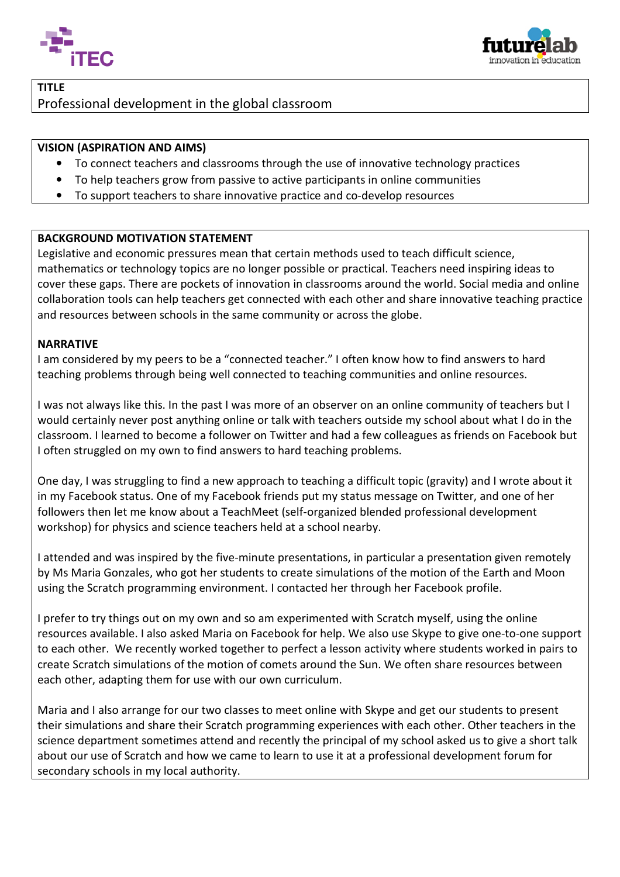



# TITLE Professional development in the global classroom

## VISION (ASPIRATION AND AIMS)

- To connect teachers and classrooms through the use of innovative technology practices
- To help teachers grow from passive to active participants in online communities
- To support teachers to share innovative practice and co-develop resources

### BACKGROUND MOTIVATION STATEMENT

Legislative and economic pressures mean that certain methods used to teach difficult science, mathematics or technology topics are no longer possible or practical. Teachers need inspiring ideas to cover these gaps. There are pockets of innovation in classrooms around the world. Social media and online collaboration tools can help teachers get connected with each other and share innovative teaching practice and resources between schools in the same community or across the globe. In the develop resources<br>
And and the deach difficult science,<br>
In practical. Teachers need inspiring ideas to<br>
Doms around the world. Social media and<br>
ach other and share innovative teaching p<br>
across the globe.<br>
I often

#### NARRATIVE

Ι

I am considered by my peers to be a "connected teacher." I often know how to find teaching problems through being well connected to teaching communities and online resources.

I was not always like this. In the past I was more of an observer on an online community of teachers but I would certainly never post anything online or talk with teachers outside my school about what I do in the classroom. I learned to become a follower on Twitter and had a few colleagues as friends on Facebook but I often struggled on my own to find answers to hard teaching problems.

One day, I was struggling to find a new approach to teaching a difficult topic (gravity) and I wrote about it in my Facebook status. One of my Facebook friends put my status message on Twitter, and one of her workshop) for physics and science teachers held at a school nearby.

followers then let me know about a TeachMeet (self-organized blended professional development<br>workshop) for physics and science teachers held at a school nearby.<br>I attended and was inspired by the five-minute presentations I attended and was inspired by the five-minute presentations, in particular a presentation given remotely by Ms Maria Gonzales, who got her students to create simulations of the motion of the Earth and Moon using the Scratch programming environment. I contacted her through her Facebook

I prefer to try things out on my own and so am experimented with Scratch myself, using the online resources available. I also asked Maria on Facebook for help. We also use Skype to give one-to-one support to each other. We recently worked together to perfect a lesson activity where students worked in pairs to create Scratch simulations of the motion of comets around the Sun. We often share resources between each other, adapting them for use with our own curriculum.

Maria and I also arrange for our two classes to meet online with Skype and get our students to present their simulations and share their Scratch programming experiences with each other. Other teachers in the science department sometimes attend and recently the principal of my school asked us to give a short talk about our use of Scratch and how we came to learn to use it at a professional development forum for secondary schools in my local authority.